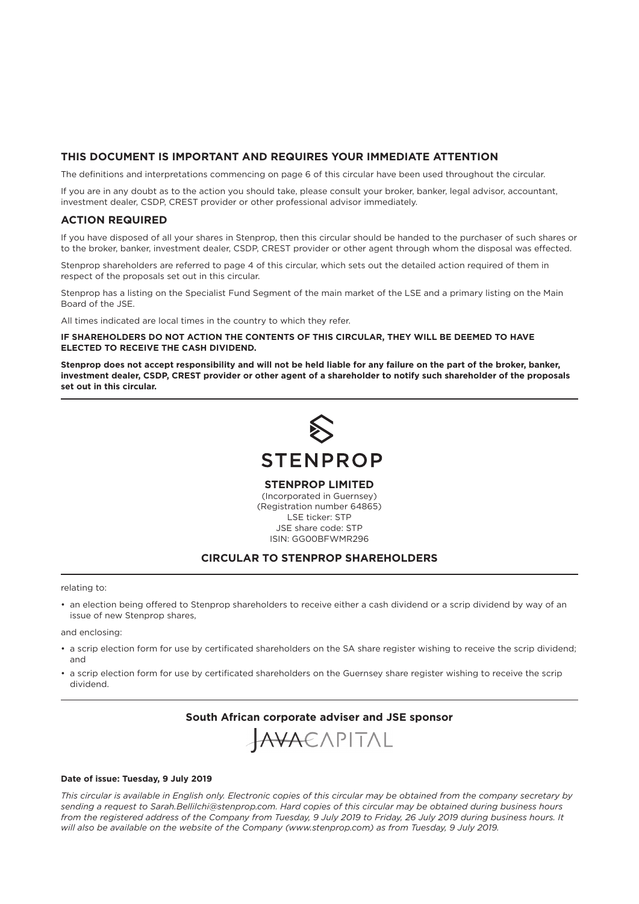## **THIS DOCUMENT IS IMPORTANT AND REQUIRES YOUR IMMEDIATE ATTENTION**

The definitions and interpretations commencing on page 6 of this circular have been used throughout the circular.

If you are in any doubt as to the action you should take, please consult your broker, banker, legal advisor, accountant, investment dealer, CSDP, CREST provider or other professional advisor immediately.

## **ACTION REQUIRED**

If you have disposed of all your shares in Stenprop, then this circular should be handed to the purchaser of such shares or to the broker, banker, investment dealer, CSDP, CREST provider or other agent through whom the disposal was effected.

Stenprop shareholders are referred to page 4 of this circular, which sets out the detailed action required of them in respect of the proposals set out in this circular.

Stenprop has a listing on the Specialist Fund Segment of the main market of the LSE and a primary listing on the Main Board of the JSE.

All times indicated are local times in the country to which they refer.

**IF SHAREHOLDERS DO NOT ACTION THE CONTENTS OF THIS CIRCULAR, THEY WILL BE DEEMED TO HAVE ELECTED TO RECEIVE THE CASH DIVIDEND.**

**Stenprop does not accept responsibility and will not be held liable for any failure on the part of the broker, banker, investment dealer, CSDP, CREST provider or other agent of a shareholder to notify such shareholder of the proposals set out in this circular.**



**STENPROP LIMITED**

(Incorporated in Guernsey) (Registration number 64865) LSE ticker: STP JSE share code: STP ISIN: GG00BFWMR296

## **CIRCULAR TO STENPROP SHAREHOLDERS**

relating to:

• an election being offered to Stenprop shareholders to receive either a cash dividend or a scrip dividend by way of an issue of new Stenprop shares,

and enclosing:

- a scrip election form for use by certificated shareholders on the SA share register wishing to receive the scrip dividend; and
- a scrip election form for use by certificated shareholders on the Guernsey share register wishing to receive the scrip dividend.

**South African corporate adviser and JSE sponsor**

JAVAEAPITAL

#### **Date of issue: Tuesday, 9 July 2019**

*This circular is available in English only. Electronic copies of this circular may be obtained from the company secretary by sending a request to Sarah.Bellilchi@stenprop.com. Hard copies of this circular may be obtained during business hours from the registered address of the Company from Tuesday, 9 July 2019 to Friday, 26 July 2019 during business hours. It will also be available on the website of the Company (www.stenprop.com) as from Tuesday, 9 July 2019.*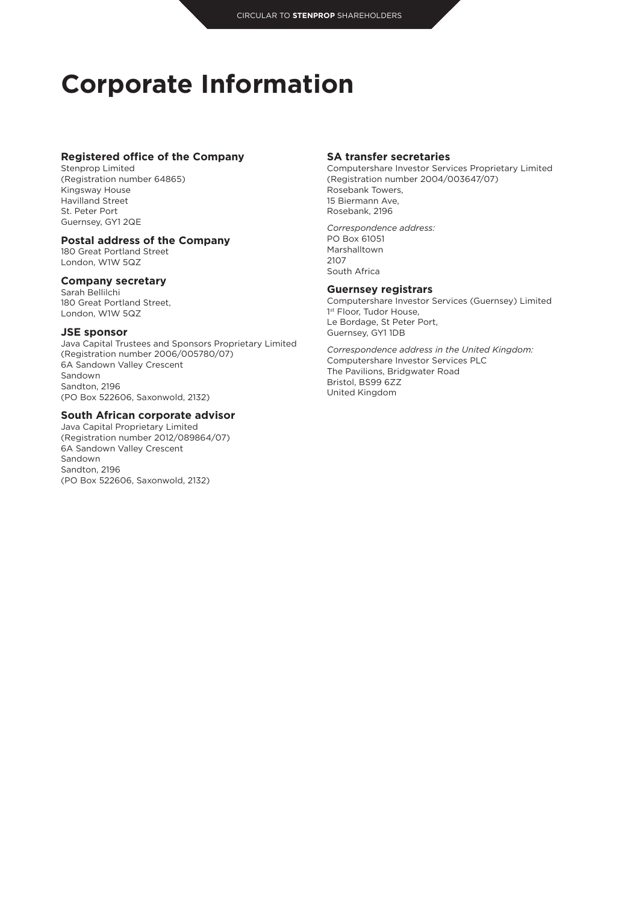## **Corporate Information**

## **Registered office of the Company**

Stenprop Limited (Registration number 64865) Kingsway House Havilland Street St. Peter Port Guernsey, GY1 2QE

## **Postal address of the Company**

180 Great Portland Street London, W1W 5QZ

### **Company secretary**

Sarah Bellilchi 180 Great Portland Street, London, W1W 5QZ

## **JSE sponsor**

Java Capital Trustees and Sponsors Proprietary Limited (Registration number 2006/005780/07) 6A Sandown Valley Crescent Sandown Sandton, 2196 (PO Box 522606, Saxonwold, 2132)

## **South African corporate advisor**

Java Capital Proprietary Limited (Registration number 2012/089864/07) 6A Sandown Valley Crescent Sandown Sandton, 2196 (PO Box 522606, Saxonwold, 2132)

## **SA transfer secretaries**

Computershare Investor Services Proprietary Limited (Registration number 2004/003647/07) Rosebank Towers, 15 Biermann Ave, Rosebank, 2196

*Correspondence address:* PO Box 61051 Marshalltown 2107 South Africa

## **Guernsey registrars**

Computershare Investor Services (Guernsey) Limited 1st Floor, Tudor House, Le Bordage, St Peter Port, Guernsey, GY1 1DB

*Correspondence address in the United Kingdom:* Computershare Investor Services PLC The Pavilions, Bridgwater Road Bristol, BS99 6ZZ United Kingdom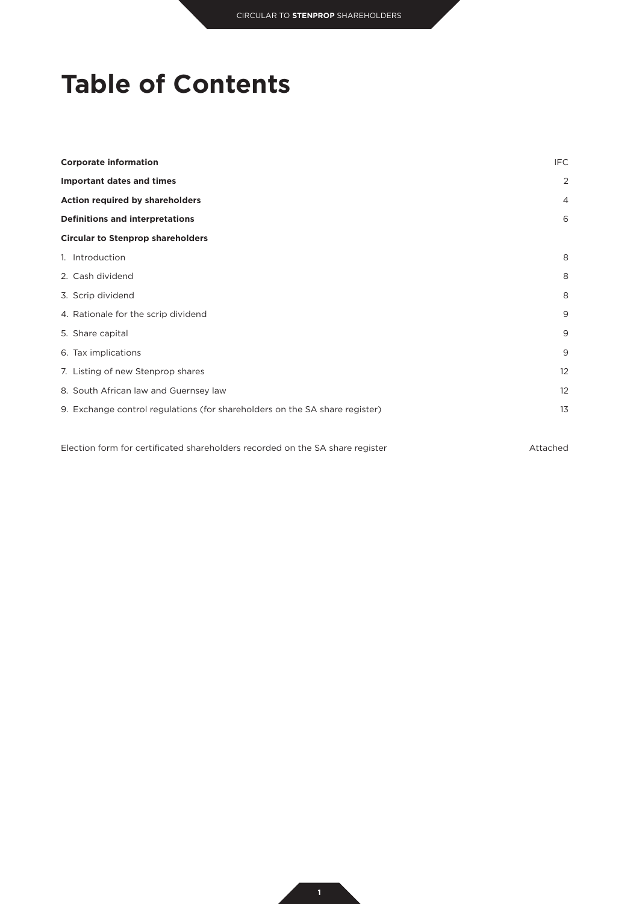## **Table of Contents**

| <b>Corporate information</b>                                                | IFC               |
|-----------------------------------------------------------------------------|-------------------|
| <b>Important dates and times</b>                                            | 2                 |
| Action required by shareholders                                             | $\overline{4}$    |
| <b>Definitions and interpretations</b>                                      | 6                 |
| <b>Circular to Stenprop shareholders</b>                                    |                   |
| 1. Introduction                                                             | 8                 |
| 2. Cash dividend                                                            | 8                 |
| 3. Scrip dividend                                                           | 8                 |
| 4. Rationale for the scrip dividend                                         | 9                 |
| 5. Share capital                                                            | 9                 |
| 6. Tax implications                                                         | 9                 |
| 7. Listing of new Stenprop shares                                           | $12 \overline{ }$ |
| 8. South African law and Guernsey law                                       | $12 \overline{ }$ |
| 9. Exchange control regulations (for shareholders on the SA share register) | 13                |
|                                                                             |                   |

Election form for certificated shareholders recorded on the SA share register Attached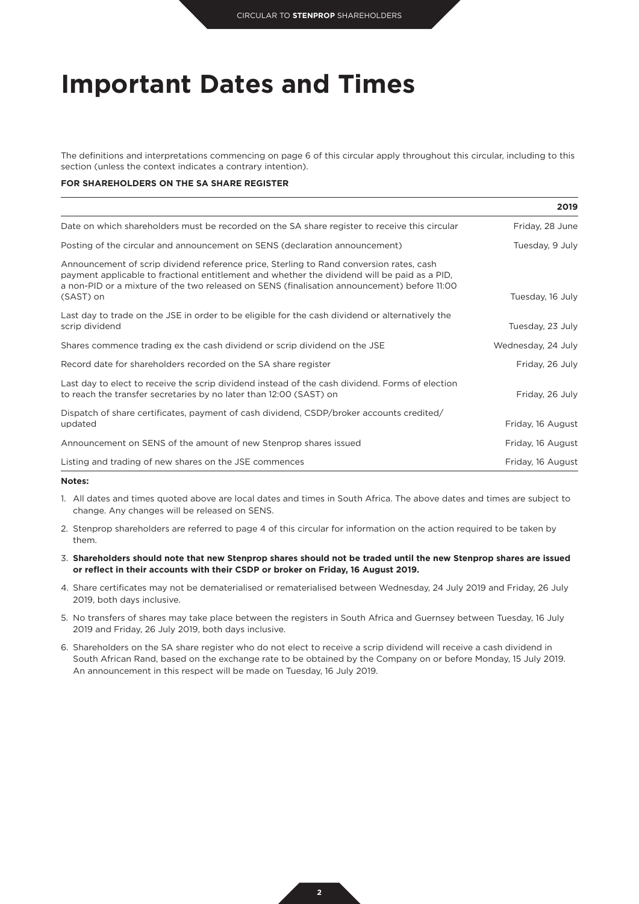## **Important Dates and Times**

The definitions and interpretations commencing on page 6 of this circular apply throughout this circular, including to this section (unless the context indicates a contrary intention).

### **FOR SHAREHOLDERS ON THE SA SHARE REGISTER**

|                                                                                                                                                                                                                                                                                                     | 2019               |
|-----------------------------------------------------------------------------------------------------------------------------------------------------------------------------------------------------------------------------------------------------------------------------------------------------|--------------------|
| Date on which shareholders must be recorded on the SA share register to receive this circular                                                                                                                                                                                                       | Friday, 28 June    |
| Posting of the circular and announcement on SENS (declaration announcement)                                                                                                                                                                                                                         | Tuesday, 9 July    |
| Announcement of scrip dividend reference price, Sterling to Rand conversion rates, cash<br>payment applicable to fractional entitlement and whether the dividend will be paid as a PID,<br>a non-PID or a mixture of the two released on SENS (finalisation announcement) before 11:00<br>(SAST) on | Tuesday, 16 July   |
| Last day to trade on the JSE in order to be eligible for the cash dividend or alternatively the<br>scrip dividend                                                                                                                                                                                   | Tuesday, 23 July   |
| Shares commence trading ex the cash dividend or scrip dividend on the JSE                                                                                                                                                                                                                           | Wednesday, 24 July |
| Record date for shareholders recorded on the SA share register                                                                                                                                                                                                                                      | Friday, 26 July    |
| Last day to elect to receive the scrip dividend instead of the cash dividend. Forms of election<br>to reach the transfer secretaries by no later than 12:00 (SAST) on                                                                                                                               | Friday, 26 July    |
| Dispatch of share certificates, payment of cash dividend, CSDP/broker accounts credited/<br>updated                                                                                                                                                                                                 | Friday, 16 August  |
| Announcement on SENS of the amount of new Stenprop shares issued                                                                                                                                                                                                                                    | Friday, 16 August  |
| Listing and trading of new shares on the JSE commences                                                                                                                                                                                                                                              | Friday, 16 August  |

#### **Notes:**

- 1. All dates and times quoted above are local dates and times in South Africa. The above dates and times are subject to change. Any changes will be released on SENS.
- 2. Stenprop shareholders are referred to page 4 of this circular for information on the action required to be taken by them.
- 3. **Shareholders should note that new Stenprop shares should not be traded until the new Stenprop shares are issued or reflect in their accounts with their CSDP or broker on Friday, 16 August 2019.**
- 4. Share certificates may not be dematerialised or rematerialised between Wednesday, 24 July 2019 and Friday, 26 July 2019, both days inclusive.
- 5. No transfers of shares may take place between the registers in South Africa and Guernsey between Tuesday, 16 July 2019 and Friday, 26 July 2019, both days inclusive.
- 6. Shareholders on the SA share register who do not elect to receive a scrip dividend will receive a cash dividend in South African Rand, based on the exchange rate to be obtained by the Company on or before Monday, 15 July 2019. An announcement in this respect will be made on Tuesday, 16 July 2019.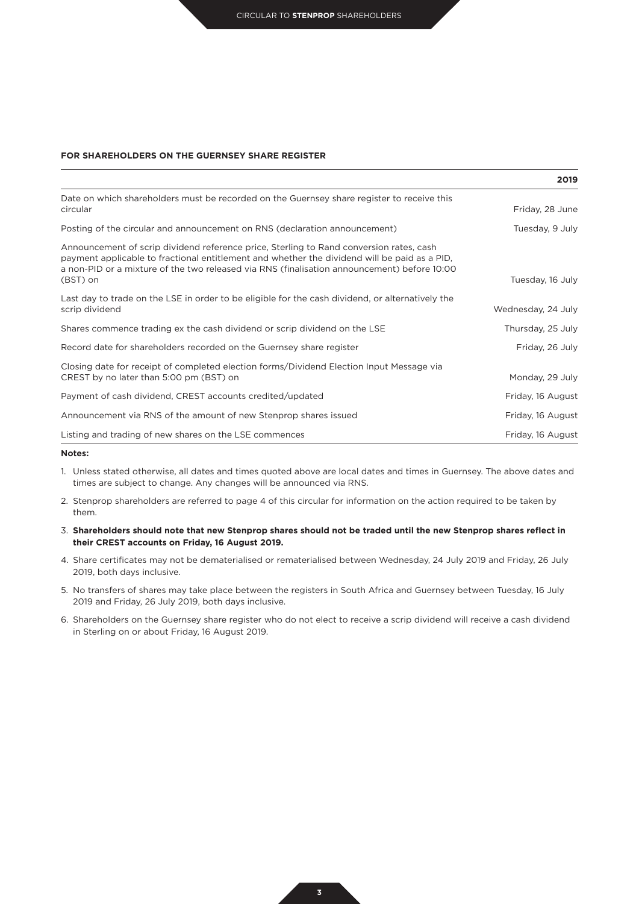#### **FOR SHAREHOLDERS ON THE GUERNSEY SHARE REGISTER**

|                                                                                                                                                                                                                                                                                                    | 2019               |
|----------------------------------------------------------------------------------------------------------------------------------------------------------------------------------------------------------------------------------------------------------------------------------------------------|--------------------|
| Date on which shareholders must be recorded on the Guernsey share register to receive this<br>circular                                                                                                                                                                                             | Friday, 28 June    |
| Posting of the circular and announcement on RNS (declaration announcement)                                                                                                                                                                                                                         | Tuesday, 9 July    |
| Announcement of scrip dividend reference price, Sterling to Rand conversion rates, cash<br>payment applicable to fractional entitlement and whether the dividend will be paid as a PID,<br>a non-PID or a mixture of the two released via RNS (finalisation announcement) before 10:00<br>(BST) on | Tuesday, 16 July   |
| Last day to trade on the LSE in order to be eligible for the cash dividend, or alternatively the<br>scrip dividend                                                                                                                                                                                 | Wednesday, 24 July |
| Shares commence trading ex the cash dividend or scrip dividend on the LSE                                                                                                                                                                                                                          | Thursday, 25 July  |
| Record date for shareholders recorded on the Guernsey share register                                                                                                                                                                                                                               | Friday, 26 July    |
| Closing date for receipt of completed election forms/Dividend Election Input Message via<br>CREST by no later than 5:00 pm (BST) on                                                                                                                                                                | Monday, 29 July    |
| Payment of cash dividend, CREST accounts credited/updated                                                                                                                                                                                                                                          | Friday, 16 August  |
| Announcement via RNS of the amount of new Stenprop shares issued                                                                                                                                                                                                                                   | Friday, 16 August  |
| Listing and trading of new shares on the LSE commences                                                                                                                                                                                                                                             | Friday, 16 August  |

## **Notes:**

- 1. Unless stated otherwise, all dates and times quoted above are local dates and times in Guernsey. The above dates and times are subject to change. Any changes will be announced via RNS.
- 2. Stenprop shareholders are referred to page 4 of this circular for information on the action required to be taken by them.
- 3. **Shareholders should note that new Stenprop shares should not be traded until the new Stenprop shares reflect in their CREST accounts on Friday, 16 August 2019.**
- 4. Share certificates may not be dematerialised or rematerialised between Wednesday, 24 July 2019 and Friday, 26 July 2019, both days inclusive.
- 5. No transfers of shares may take place between the registers in South Africa and Guernsey between Tuesday, 16 July 2019 and Friday, 26 July 2019, both days inclusive.
- 6. Shareholders on the Guernsey share register who do not elect to receive a scrip dividend will receive a cash dividend in Sterling on or about Friday, 16 August 2019.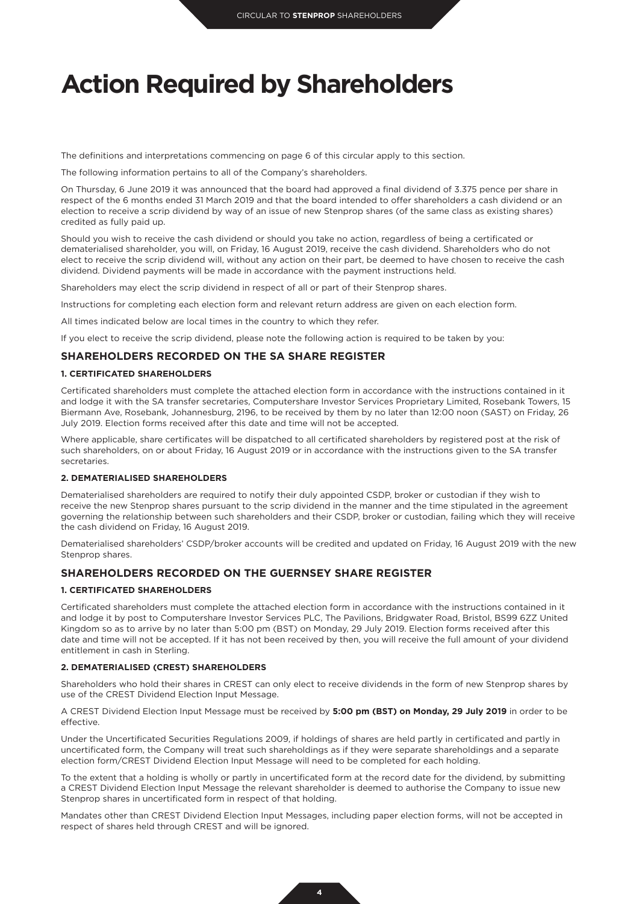## **Action Required by Shareholders**

The definitions and interpretations commencing on page 6 of this circular apply to this section.

The following information pertains to all of the Company's shareholders.

On Thursday, 6 June 2019 it was announced that the board had approved a final dividend of 3.375 pence per share in respect of the 6 months ended 31 March 2019 and that the board intended to offer shareholders a cash dividend or an election to receive a scrip dividend by way of an issue of new Stenprop shares (of the same class as existing shares) credited as fully paid up.

Should you wish to receive the cash dividend or should you take no action, regardless of being a certificated or dematerialised shareholder, you will, on Friday, 16 August 2019, receive the cash dividend. Shareholders who do not elect to receive the scrip dividend will, without any action on their part, be deemed to have chosen to receive the cash dividend. Dividend payments will be made in accordance with the payment instructions held.

Shareholders may elect the scrip dividend in respect of all or part of their Stenprop shares.

Instructions for completing each election form and relevant return address are given on each election form.

All times indicated below are local times in the country to which they refer.

If you elect to receive the scrip dividend, please note the following action is required to be taken by you:

## **SHAREHOLDERS RECORDED ON THE SA SHARE REGISTER**

#### **1. CERTIFICATED SHAREHOLDERS**

Certificated shareholders must complete the attached election form in accordance with the instructions contained in it and lodge it with the SA transfer secretaries, Computershare Investor Services Proprietary Limited, Rosebank Towers, 15 Biermann Ave, Rosebank, Johannesburg, 2196, to be received by them by no later than 12:00 noon (SAST) on Friday, 26 July 2019. Election forms received after this date and time will not be accepted.

Where applicable, share certificates will be dispatched to all certificated shareholders by registered post at the risk of such shareholders, on or about Friday, 16 August 2019 or in accordance with the instructions given to the SA transfer secretaries.

#### **2. DEMATERIALISED SHAREHOLDERS**

Dematerialised shareholders are required to notify their duly appointed CSDP, broker or custodian if they wish to receive the new Stenprop shares pursuant to the scrip dividend in the manner and the time stipulated in the agreement governing the relationship between such shareholders and their CSDP, broker or custodian, failing which they will receive the cash dividend on Friday, 16 August 2019.

Dematerialised shareholders' CSDP/broker accounts will be credited and updated on Friday, 16 August 2019 with the new Stenprop shares.

## **SHAREHOLDERS RECORDED ON THE GUERNSEY SHARE REGISTER**

#### **1. CERTIFICATED SHAREHOLDERS**

Certificated shareholders must complete the attached election form in accordance with the instructions contained in it and lodge it by post to Computershare Investor Services PLC, The Pavilions, Bridgwater Road, Bristol, BS99 6ZZ United Kingdom so as to arrive by no later than 5:00 pm (BST) on Monday, 29 July 2019. Election forms received after this date and time will not be accepted. If it has not been received by then, you will receive the full amount of your dividend entitlement in cash in Sterling.

### **2. DEMATERIALISED (CREST) SHAREHOLDERS**

Shareholders who hold their shares in CREST can only elect to receive dividends in the form of new Stenprop shares by use of the CREST Dividend Election Input Message.

A CREST Dividend Election Input Message must be received by **5:00 pm (BST) on Monday, 29 July 2019** in order to be effective.

Under the Uncertificated Securities Regulations 2009, if holdings of shares are held partly in certificated and partly in uncertificated form, the Company will treat such shareholdings as if they were separate shareholdings and a separate election form/CREST Dividend Election Input Message will need to be completed for each holding.

To the extent that a holding is wholly or partly in uncertificated form at the record date for the dividend, by submitting a CREST Dividend Election Input Message the relevant shareholder is deemed to authorise the Company to issue new Stenprop shares in uncertificated form in respect of that holding.

Mandates other than CREST Dividend Election Input Messages, including paper election forms, will not be accepted in respect of shares held through CREST and will be ignored.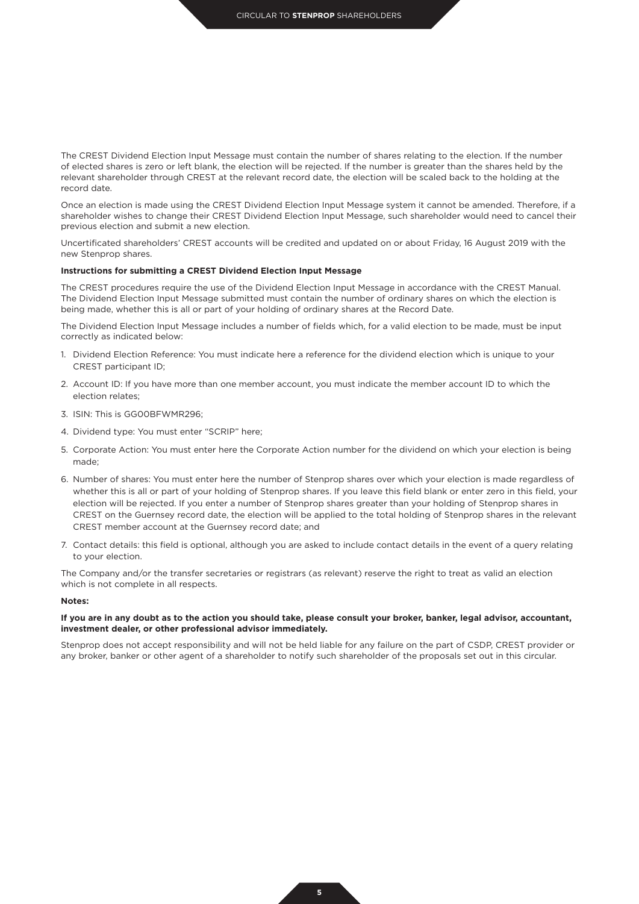The CREST Dividend Election Input Message must contain the number of shares relating to the election. If the number of elected shares is zero or left blank, the election will be rejected. If the number is greater than the shares held by the relevant shareholder through CREST at the relevant record date, the election will be scaled back to the holding at the record date.

Once an election is made using the CREST Dividend Election Input Message system it cannot be amended. Therefore, if a shareholder wishes to change their CREST Dividend Election Input Message, such shareholder would need to cancel their previous election and submit a new election.

Uncertificated shareholders' CREST accounts will be credited and updated on or about Friday, 16 August 2019 with the new Stenprop shares.

#### **Instructions for submitting a CREST Dividend Election Input Message**

The CREST procedures require the use of the Dividend Election Input Message in accordance with the CREST Manual. The Dividend Election Input Message submitted must contain the number of ordinary shares on which the election is being made, whether this is all or part of your holding of ordinary shares at the Record Date.

The Dividend Election Input Message includes a number of fields which, for a valid election to be made, must be input correctly as indicated below:

- 1. Dividend Election Reference: You must indicate here a reference for the dividend election which is unique to your CREST participant ID;
- 2. Account ID: If you have more than one member account, you must indicate the member account ID to which the election relates;
- 3. ISIN: This is GG00BFWMR296;
- 4. Dividend type: You must enter "SCRIP" here;
- 5. Corporate Action: You must enter here the Corporate Action number for the dividend on which your election is being made;
- 6. Number of shares: You must enter here the number of Stenprop shares over which your election is made regardless of whether this is all or part of your holding of Stenprop shares. If you leave this field blank or enter zero in this field, your election will be rejected. If you enter a number of Stenprop shares greater than your holding of Stenprop shares in CREST on the Guernsey record date, the election will be applied to the total holding of Stenprop shares in the relevant CREST member account at the Guernsey record date; and
- 7. Contact details: this field is optional, although you are asked to include contact details in the event of a query relating to your election.

The Company and/or the transfer secretaries or registrars (as relevant) reserve the right to treat as valid an election which is not complete in all respects.

#### **Notes:**

#### **If you are in any doubt as to the action you should take, please consult your broker, banker, legal advisor, accountant, investment dealer, or other professional advisor immediately.**

Stenprop does not accept responsibility and will not be held liable for any failure on the part of CSDP, CREST provider or any broker, banker or other agent of a shareholder to notify such shareholder of the proposals set out in this circular.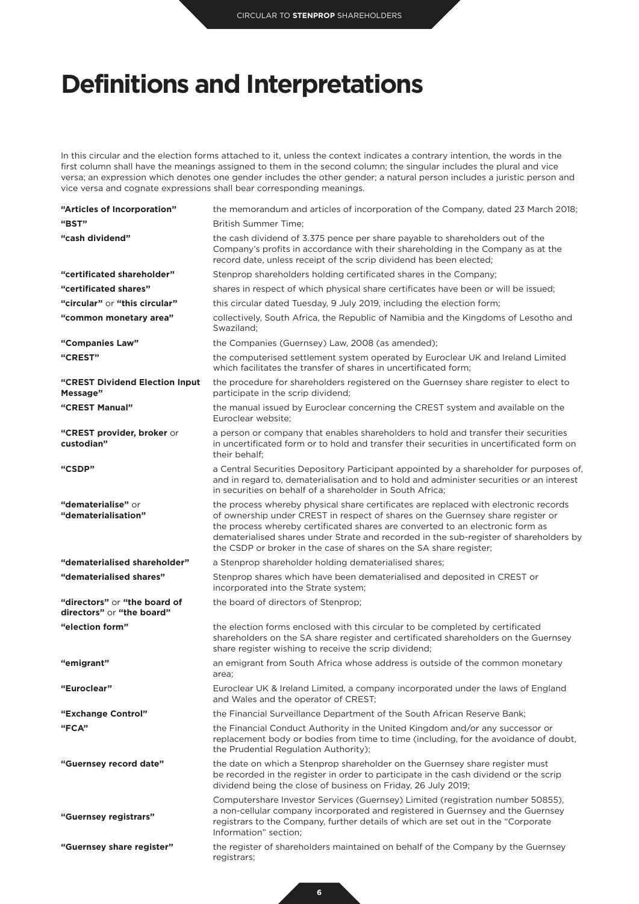## **Definitions and Interpretations**

In this circular and the election forms attached to it, unless the context indicates a contrary intention, the words in the first column shall have the meanings assigned to them in the second column; the singular includes the plural and vice versa; an expression which denotes one gender includes the other gender; a natural person includes a juristic person and vice versa and cognate expressions shall bear corresponding meanings.

| "Articles of Incorporation"                               | the memorandum and articles of incorporation of the Company, dated 23 March 2018;                                                                                                                                                                                                                                                                                                                                         |
|-----------------------------------------------------------|---------------------------------------------------------------------------------------------------------------------------------------------------------------------------------------------------------------------------------------------------------------------------------------------------------------------------------------------------------------------------------------------------------------------------|
| "BST"                                                     | <b>British Summer Time:</b>                                                                                                                                                                                                                                                                                                                                                                                               |
| "cash dividend"                                           | the cash dividend of 3.375 pence per share payable to shareholders out of the<br>Company's profits in accordance with their shareholding in the Company as at the<br>record date, unless receipt of the scrip dividend has been elected;                                                                                                                                                                                  |
| "certificated shareholder"                                | Stenprop shareholders holding certificated shares in the Company;                                                                                                                                                                                                                                                                                                                                                         |
| "certificated shares"                                     | shares in respect of which physical share certificates have been or will be issued;                                                                                                                                                                                                                                                                                                                                       |
| "circular" or "this circular"                             | this circular dated Tuesday, 9 July 2019, including the election form;                                                                                                                                                                                                                                                                                                                                                    |
| "common monetary area"                                    | collectively, South Africa, the Republic of Namibia and the Kingdoms of Lesotho and<br>Swaziland;                                                                                                                                                                                                                                                                                                                         |
| "Companies Law"                                           | the Companies (Guernsey) Law, 2008 (as amended);                                                                                                                                                                                                                                                                                                                                                                          |
| "CREST"                                                   | the computerised settlement system operated by Euroclear UK and Ireland Limited<br>which facilitates the transfer of shares in uncertificated form;                                                                                                                                                                                                                                                                       |
| "CREST Dividend Election Input<br>Message"                | the procedure for shareholders registered on the Guernsey share register to elect to<br>participate in the scrip dividend;                                                                                                                                                                                                                                                                                                |
| "CREST Manual"                                            | the manual issued by Euroclear concerning the CREST system and available on the<br>Euroclear website;                                                                                                                                                                                                                                                                                                                     |
| "CREST provider, broker or<br>custodian"                  | a person or company that enables shareholders to hold and transfer their securities<br>in uncertificated form or to hold and transfer their securities in uncertificated form on<br>their behalf:                                                                                                                                                                                                                         |
| "CSDP"                                                    | a Central Securities Depository Participant appointed by a shareholder for purposes of,<br>and in regard to, dematerialisation and to hold and administer securities or an interest<br>in securities on behalf of a shareholder in South Africa;                                                                                                                                                                          |
| "dematerialise" or<br>"dematerialisation"                 | the process whereby physical share certificates are replaced with electronic records<br>of ownership under CREST in respect of shares on the Guernsey share register or<br>the process whereby certificated shares are converted to an electronic form as<br>dematerialised shares under Strate and recorded in the sub-register of shareholders by<br>the CSDP or broker in the case of shares on the SA share register; |
| "dematerialised shareholder"                              | a Stenprop shareholder holding dematerialised shares;                                                                                                                                                                                                                                                                                                                                                                     |
| "dematerialised shares"                                   | Stenprop shares which have been dematerialised and deposited in CREST or<br>incorporated into the Strate system;                                                                                                                                                                                                                                                                                                          |
| "directors" or "the board of<br>directors" or "the board" | the board of directors of Stenprop;                                                                                                                                                                                                                                                                                                                                                                                       |
| "election form"                                           | the election forms enclosed with this circular to be completed by certificated<br>shareholders on the SA share register and certificated shareholders on the Guernsey<br>share register wishing to receive the scrip dividend;                                                                                                                                                                                            |
| "emigrant"                                                | an emigrant from South Africa whose address is outside of the common monetary<br>area;                                                                                                                                                                                                                                                                                                                                    |
| "Euroclear"                                               | Euroclear UK & Ireland Limited, a company incorporated under the laws of England<br>and Wales and the operator of CREST;                                                                                                                                                                                                                                                                                                  |
| "Exchange Control"                                        | the Financial Surveillance Department of the South African Reserve Bank;                                                                                                                                                                                                                                                                                                                                                  |
| "FCA"                                                     | the Financial Conduct Authority in the United Kingdom and/or any successor or<br>replacement body or bodies from time to time (including, for the avoidance of doubt,<br>the Prudential Regulation Authority);                                                                                                                                                                                                            |
| "Guernsey record date"                                    | the date on which a Stenprop shareholder on the Guernsey share register must<br>be recorded in the register in order to participate in the cash dividend or the scrip<br>dividend being the close of business on Friday, 26 July 2019;                                                                                                                                                                                    |
| "Guernsey registrars"                                     | Computershare Investor Services (Guernsey) Limited (registration number 50855),<br>a non-cellular company incorporated and registered in Guernsey and the Guernsey<br>registrars to the Company, further details of which are set out in the "Corporate"<br>Information" section;                                                                                                                                         |
| "Guernsey share register"                                 | the register of shareholders maintained on behalf of the Company by the Guernsey<br>registrars;                                                                                                                                                                                                                                                                                                                           |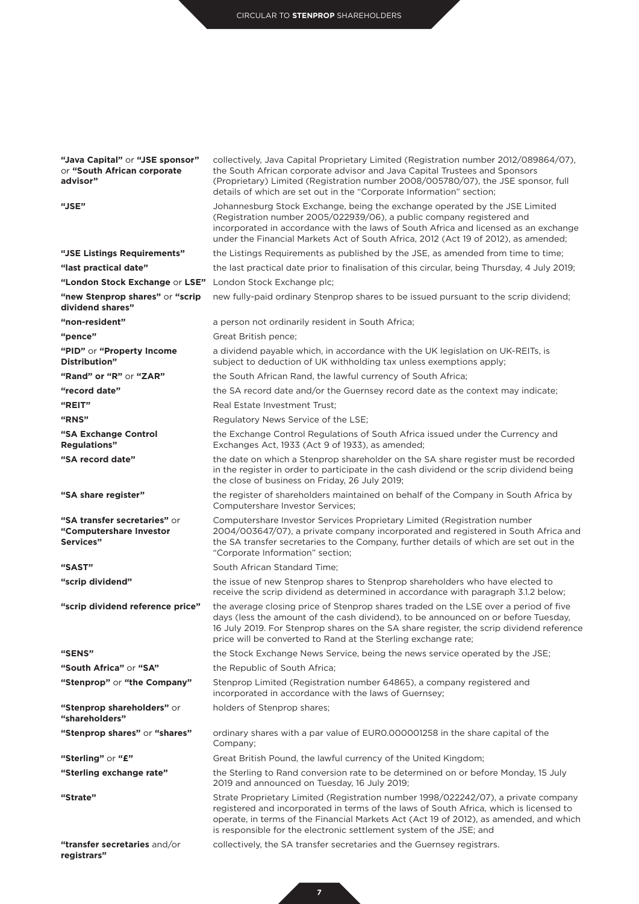| "Java Capital" or "JSE sponsor"<br>or "South African corporate<br>advisor" | collectively, Java Capital Proprietary Limited (Registration number 2012/089864/07),<br>the South African corporate advisor and Java Capital Trustees and Sponsors<br>(Proprietary) Limited (Registration number 2008/005780/07), the JSE sponsor, full<br>details of which are set out in the "Corporate Information" section;               |
|----------------------------------------------------------------------------|-----------------------------------------------------------------------------------------------------------------------------------------------------------------------------------------------------------------------------------------------------------------------------------------------------------------------------------------------|
| "JSE"                                                                      | Johannesburg Stock Exchange, being the exchange operated by the JSE Limited<br>(Registration number 2005/022939/06), a public company registered and<br>incorporated in accordance with the laws of South Africa and licensed as an exchange<br>under the Financial Markets Act of South Africa, 2012 (Act 19 of 2012), as amended;           |
| "JSE Listings Requirements"                                                | the Listings Requirements as published by the JSE, as amended from time to time;                                                                                                                                                                                                                                                              |
| "last practical date"                                                      | the last practical date prior to finalisation of this circular, being Thursday, 4 July 2019;                                                                                                                                                                                                                                                  |
| "London Stock Exchange or LSE" London Stock Exchange plc;                  |                                                                                                                                                                                                                                                                                                                                               |
| "new Stenprop shares" or "scrip<br>dividend shares"                        | new fully-paid ordinary Stenprop shares to be issued pursuant to the scrip dividend;                                                                                                                                                                                                                                                          |
| "non-resident"                                                             | a person not ordinarily resident in South Africa;                                                                                                                                                                                                                                                                                             |
| "pence"                                                                    | Great British pence;                                                                                                                                                                                                                                                                                                                          |
| "PID" or "Property Income<br>Distribution"                                 | a dividend payable which, in accordance with the UK legislation on UK-REITs, is<br>subject to deduction of UK withholding tax unless exemptions apply;                                                                                                                                                                                        |
| "Rand" or "R" or "ZAR"                                                     | the South African Rand, the lawful currency of South Africa;                                                                                                                                                                                                                                                                                  |
| "record date"                                                              | the SA record date and/or the Guernsey record date as the context may indicate;                                                                                                                                                                                                                                                               |
| "REIT"                                                                     | Real Estate Investment Trust;                                                                                                                                                                                                                                                                                                                 |
| "RNS"                                                                      | Regulatory News Service of the LSE;                                                                                                                                                                                                                                                                                                           |
| "SA Exchange Control<br><b>Regulations</b> "                               | the Exchange Control Regulations of South Africa issued under the Currency and<br>Exchanges Act, 1933 (Act 9 of 1933), as amended;                                                                                                                                                                                                            |
| "SA record date"                                                           | the date on which a Stenprop shareholder on the SA share register must be recorded<br>in the register in order to participate in the cash dividend or the scrip dividend being<br>the close of business on Friday, 26 July 2019;                                                                                                              |
| "SA share register"                                                        | the register of shareholders maintained on behalf of the Company in South Africa by<br>Computershare Investor Services;                                                                                                                                                                                                                       |
| "SA transfer secretaries" or<br>"Computershare Investor<br>Services"       | Computershare Investor Services Proprietary Limited (Registration number<br>2004/003647/07), a private company incorporated and registered in South Africa and<br>the SA transfer secretaries to the Company, further details of which are set out in the<br>"Corporate Information" section;                                                 |
| "SAST"                                                                     | South African Standard Time;                                                                                                                                                                                                                                                                                                                  |
| "scrip dividend"                                                           | the issue of new Stenprop shares to Stenprop shareholders who have elected to<br>receive the scrip dividend as determined in accordance with paragraph 3.1.2 below;                                                                                                                                                                           |
| "scrip dividend reference price"                                           | the average closing price of Stenprop shares traded on the LSE over a period of five<br>days (less the amount of the cash dividend), to be announced on or before Tuesday,<br>16 July 2019. For Stenprop shares on the SA share register, the scrip dividend reference<br>price will be converted to Rand at the Sterling exchange rate;      |
| "SENS"                                                                     | the Stock Exchange News Service, being the news service operated by the JSE;                                                                                                                                                                                                                                                                  |
| "South Africa" or "SA"                                                     | the Republic of South Africa;                                                                                                                                                                                                                                                                                                                 |
| "Stenprop" or "the Company"                                                | Stenprop Limited (Registration number 64865), a company registered and<br>incorporated in accordance with the laws of Guernsey;                                                                                                                                                                                                               |
| "Stenprop shareholders" or<br>"shareholders"                               | holders of Stenprop shares;                                                                                                                                                                                                                                                                                                                   |
| "Stenprop shares" or "shares"                                              | ordinary shares with a par value of EUR0.000001258 in the share capital of the<br>Company;                                                                                                                                                                                                                                                    |
| "Sterling" or "£"                                                          | Great British Pound, the lawful currency of the United Kingdom;                                                                                                                                                                                                                                                                               |
| "Sterling exchange rate"                                                   | the Sterling to Rand conversion rate to be determined on or before Monday, 15 July<br>2019 and announced on Tuesday, 16 July 2019;                                                                                                                                                                                                            |
| "Strate"                                                                   | Strate Proprietary Limited (Registration number 1998/022242/07), a private company<br>registered and incorporated in terms of the laws of South Africa, which is licensed to<br>operate, in terms of the Financial Markets Act (Act 19 of 2012), as amended, and which<br>is responsible for the electronic settlement system of the JSE; and |
| "transfer secretaries and/or<br>registrars"                                | collectively, the SA transfer secretaries and the Guernsey registrars.                                                                                                                                                                                                                                                                        |

**7**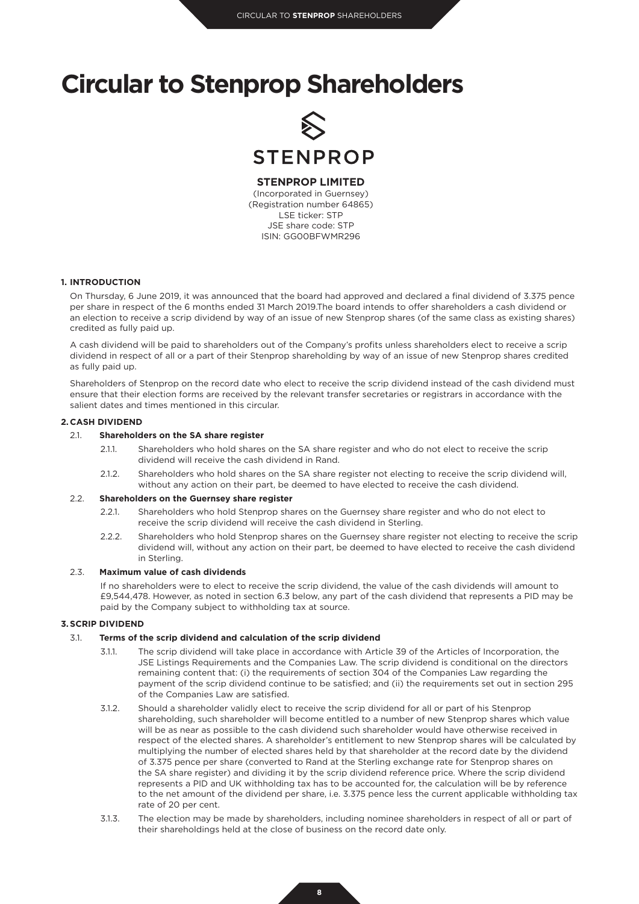

## **STENPROP LIMITED**

(Incorporated in Guernsey) (Registration number 64865) LSE ticker: STP JSE share code: STP ISIN: GG00BFWMR296

#### **1. INTRODUCTION**

On Thursday, 6 June 2019, it was announced that the board had approved and declared a final dividend of 3.375 pence per share in respect of the 6 months ended 31 March 2019.The board intends to offer shareholders a cash dividend or an election to receive a scrip dividend by way of an issue of new Stenprop shares (of the same class as existing shares) credited as fully paid up.

A cash dividend will be paid to shareholders out of the Company's profits unless shareholders elect to receive a scrip dividend in respect of all or a part of their Stenprop shareholding by way of an issue of new Stenprop shares credited as fully paid up.

Shareholders of Stenprop on the record date who elect to receive the scrip dividend instead of the cash dividend must ensure that their election forms are received by the relevant transfer secretaries or registrars in accordance with the salient dates and times mentioned in this circular.

#### **2. CASH DIVIDEND**

#### 2.1. **Shareholders on the SA share register**

- 2.1.1. Shareholders who hold shares on the SA share register and who do not elect to receive the scrip dividend will receive the cash dividend in Rand.
- 2.1.2. Shareholders who hold shares on the SA share register not electing to receive the scrip dividend will, without any action on their part, be deemed to have elected to receive the cash dividend.

### 2.2. **Shareholders on the Guernsey share register**

- 2.2.1. Shareholders who hold Stenprop shares on the Guernsey share register and who do not elect to receive the scrip dividend will receive the cash dividend in Sterling.
- 2.2.2. Shareholders who hold Stenprop shares on the Guernsey share register not electing to receive the scrip dividend will, without any action on their part, be deemed to have elected to receive the cash dividend in Sterling.

#### 2.3. **Maximum value of cash dividends**

If no shareholders were to elect to receive the scrip dividend, the value of the cash dividends will amount to £9,544,478. However, as noted in section 6.3 below, any part of the cash dividend that represents a PID may be paid by the Company subject to withholding tax at source.

#### **3.SCRIP DIVIDEND**

#### 3.1. **Terms of the scrip dividend and calculation of the scrip dividend**

- 3.1.1. The scrip dividend will take place in accordance with Article 39 of the Articles of Incorporation, the JSE Listings Requirements and the Companies Law. The scrip dividend is conditional on the directors remaining content that: (i) the requirements of section 304 of the Companies Law regarding the payment of the scrip dividend continue to be satisfied; and (ii) the requirements set out in section 295 of the Companies Law are satisfied.
- 3.1.2. Should a shareholder validly elect to receive the scrip dividend for all or part of his Stenprop shareholding, such shareholder will become entitled to a number of new Stenprop shares which value will be as near as possible to the cash dividend such shareholder would have otherwise received in respect of the elected shares. A shareholder's entitlement to new Stenprop shares will be calculated by multiplying the number of elected shares held by that shareholder at the record date by the dividend of 3.375 pence per share (converted to Rand at the Sterling exchange rate for Stenprop shares on the SA share register) and dividing it by the scrip dividend reference price. Where the scrip dividend represents a PID and UK withholding tax has to be accounted for, the calculation will be by reference to the net amount of the dividend per share, i.e. 3.375 pence less the current applicable withholding tax rate of 20 per cent.
- 3.1.3. The election may be made by shareholders, including nominee shareholders in respect of all or part of their shareholdings held at the close of business on the record date only.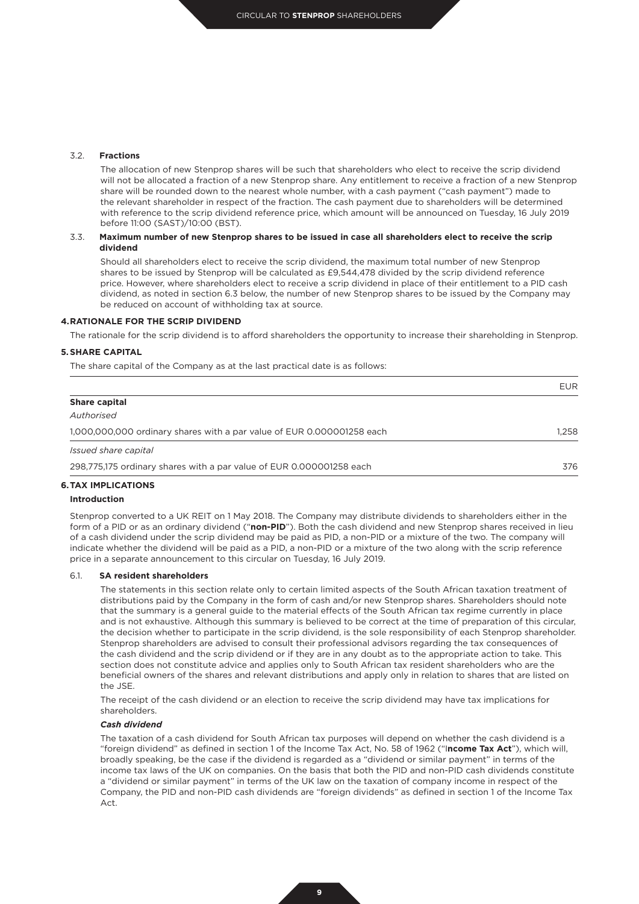#### 3.2. **Fractions**

The allocation of new Stenprop shares will be such that shareholders who elect to receive the scrip dividend will not be allocated a fraction of a new Stenprop share. Any entitlement to receive a fraction of a new Stenprop share will be rounded down to the nearest whole number, with a cash payment ("cash payment") made to the relevant shareholder in respect of the fraction. The cash payment due to shareholders will be determined with reference to the scrip dividend reference price, which amount will be announced on Tuesday, 16 July 2019 before 11:00 (SAST)/10:00 (BST).

#### 3.3. **Maximum number of new Stenprop shares to be issued in case all shareholders elect to receive the scrip dividend**

Should all shareholders elect to receive the scrip dividend, the maximum total number of new Stenprop shares to be issued by Stenprop will be calculated as £9,544,478 divided by the scrip dividend reference price. However, where shareholders elect to receive a scrip dividend in place of their entitlement to a PID cash dividend, as noted in section 6.3 below, the number of new Stenprop shares to be issued by the Company may be reduced on account of withholding tax at source.

#### **4.RATIONALE FOR THE SCRIP DIVIDEND**

The rationale for the scrip dividend is to afford shareholders the opportunity to increase their shareholding in Stenprop.

#### **5.SHARE CAPITAL**

The share capital of the Company as at the last practical date is as follows:

|                                                                        | <b>EUR</b> |
|------------------------------------------------------------------------|------------|
| <b>Share capital</b>                                                   |            |
| Authorised                                                             |            |
| 1,000,000,000 ordinary shares with a par value of EUR 0.000001258 each | 1.258      |
| Issued share capital                                                   |            |
| 298,775,175 ordinary shares with a par value of EUR 0.000001258 each   | 376        |

#### **6.TAX IMPLICATIONS**

#### **Introduction**

Stenprop converted to a UK REIT on 1 May 2018. The Company may distribute dividends to shareholders either in the form of a PID or as an ordinary dividend ("**non-PID**"). Both the cash dividend and new Stenprop shares received in lieu of a cash dividend under the scrip dividend may be paid as PID, a non-PID or a mixture of the two. The company will indicate whether the dividend will be paid as a PID, a non-PID or a mixture of the two along with the scrip reference price in a separate announcement to this circular on Tuesday, 16 July 2019.

#### 6.1. **SA resident shareholders**

The statements in this section relate only to certain limited aspects of the South African taxation treatment of distributions paid by the Company in the form of cash and/or new Stenprop shares. Shareholders should note that the summary is a general guide to the material effects of the South African tax regime currently in place and is not exhaustive. Although this summary is believed to be correct at the time of preparation of this circular, the decision whether to participate in the scrip dividend, is the sole responsibility of each Stenprop shareholder. Stenprop shareholders are advised to consult their professional advisors regarding the tax consequences of the cash dividend and the scrip dividend or if they are in any doubt as to the appropriate action to take. This section does not constitute advice and applies only to South African tax resident shareholders who are the beneficial owners of the shares and relevant distributions and apply only in relation to shares that are listed on the JSE.

The receipt of the cash dividend or an election to receive the scrip dividend may have tax implications for shareholders.

#### *Cash dividend*

The taxation of a cash dividend for South African tax purposes will depend on whether the cash dividend is a "foreign dividend" as defined in section 1 of the Income Tax Act, No. 58 of 1962 ("I**ncome Tax Act**"), which will, broadly speaking, be the case if the dividend is regarded as a "dividend or similar payment" in terms of the income tax laws of the UK on companies. On the basis that both the PID and non-PID cash dividends constitute a "dividend or similar payment" in terms of the UK law on the taxation of company income in respect of the Company, the PID and non-PID cash dividends are "foreign dividends" as defined in section 1 of the Income Tax Act.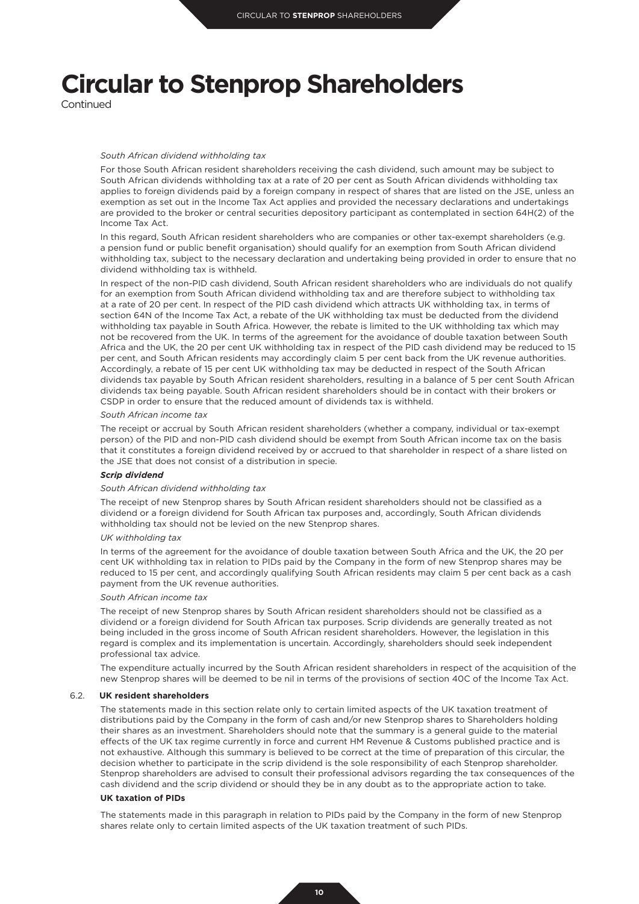Continued

#### *South African dividend withholding tax*

For those South African resident shareholders receiving the cash dividend, such amount may be subject to South African dividends withholding tax at a rate of 20 per cent as South African dividends withholding tax applies to foreign dividends paid by a foreign company in respect of shares that are listed on the JSE, unless an exemption as set out in the Income Tax Act applies and provided the necessary declarations and undertakings are provided to the broker or central securities depository participant as contemplated in section 64H(2) of the Income Tax Act.

In this regard, South African resident shareholders who are companies or other tax-exempt shareholders (e.g. a pension fund or public benefit organisation) should qualify for an exemption from South African dividend withholding tax, subject to the necessary declaration and undertaking being provided in order to ensure that no dividend withholding tax is withheld.

In respect of the non-PID cash dividend, South African resident shareholders who are individuals do not qualify for an exemption from South African dividend withholding tax and are therefore subject to withholding tax at a rate of 20 per cent. In respect of the PID cash dividend which attracts UK withholding tax, in terms of section 64N of the Income Tax Act, a rebate of the UK withholding tax must be deducted from the dividend withholding tax payable in South Africa. However, the rebate is limited to the UK withholding tax which may not be recovered from the UK. In terms of the agreement for the avoidance of double taxation between South Africa and the UK, the 20 per cent UK withholding tax in respect of the PID cash dividend may be reduced to 15 per cent, and South African residents may accordingly claim 5 per cent back from the UK revenue authorities. Accordingly, a rebate of 15 per cent UK withholding tax may be deducted in respect of the South African dividends tax payable by South African resident shareholders, resulting in a balance of 5 per cent South African dividends tax being payable. South African resident shareholders should be in contact with their brokers or CSDP in order to ensure that the reduced amount of dividends tax is withheld.

#### *South African income tax*

The receipt or accrual by South African resident shareholders (whether a company, individual or tax-exempt person) of the PID and non-PID cash dividend should be exempt from South African income tax on the basis that it constitutes a foreign dividend received by or accrued to that shareholder in respect of a share listed on the JSE that does not consist of a distribution in specie.

#### *Scrip dividend*

#### *South African dividend withholding tax*

The receipt of new Stenprop shares by South African resident shareholders should not be classified as a dividend or a foreign dividend for South African tax purposes and, accordingly, South African dividends withholding tax should not be levied on the new Stenprop shares.

#### *UK withholding tax*

In terms of the agreement for the avoidance of double taxation between South Africa and the UK, the 20 per cent UK withholding tax in relation to PIDs paid by the Company in the form of new Stenprop shares may be reduced to 15 per cent, and accordingly qualifying South African residents may claim 5 per cent back as a cash payment from the UK revenue authorities.

#### *South African income tax*

The receipt of new Stenprop shares by South African resident shareholders should not be classified as a dividend or a foreign dividend for South African tax purposes. Scrip dividends are generally treated as not being included in the gross income of South African resident shareholders. However, the legislation in this regard is complex and its implementation is uncertain. Accordingly, shareholders should seek independent professional tax advice.

The expenditure actually incurred by the South African resident shareholders in respect of the acquisition of the new Stenprop shares will be deemed to be nil in terms of the provisions of section 40C of the Income Tax Act.

#### 6.2. **UK resident shareholders**

The statements made in this section relate only to certain limited aspects of the UK taxation treatment of distributions paid by the Company in the form of cash and/or new Stenprop shares to Shareholders holding their shares as an investment. Shareholders should note that the summary is a general guide to the material effects of the UK tax regime currently in force and current HM Revenue & Customs published practice and is not exhaustive. Although this summary is believed to be correct at the time of preparation of this circular, the decision whether to participate in the scrip dividend is the sole responsibility of each Stenprop shareholder. Stenprop shareholders are advised to consult their professional advisors regarding the tax consequences of the cash dividend and the scrip dividend or should they be in any doubt as to the appropriate action to take.

#### **UK taxation of PIDs**

The statements made in this paragraph in relation to PIDs paid by the Company in the form of new Stenprop shares relate only to certain limited aspects of the UK taxation treatment of such PIDs.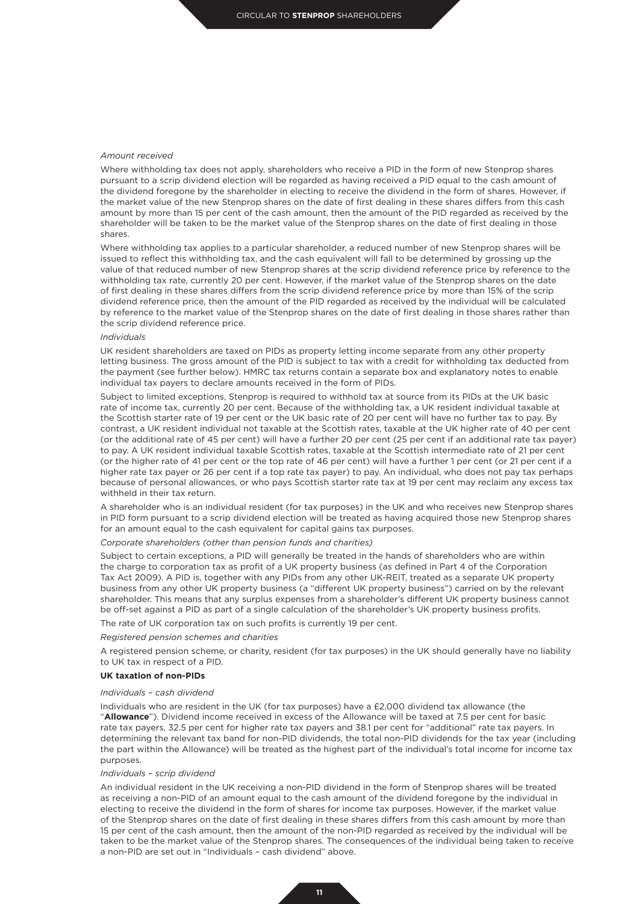#### *Amount received*

Where withholding tax does not apply, shareholders who receive a PID in the form of new Stenprop shares pursuant to a scrip dividend election will be regarded as having received a PID equal to the cash amount of the dividend foregone by the shareholder in electing to receive the dividend in the form of shares. However, if the market value of the new Stenprop shares on the date of first dealing in these shares differs from this cash amount by more than 15 per cent of the cash amount, then the amount of the PID regarded as received by the shareholder will be taken to be the market value of the Stenprop shares on the date of first dealing in those shares.

Where withholding tax applies to a particular shareholder, a reduced number of new Stenprop shares will be issued to reflect this withholding tax, and the cash equivalent will fall to be determined by grossing up the value of that reduced number of new Stenprop shares at the scrip dividend reference price by reference to the withholding tax rate, currently 20 per cent. However, if the market value of the Stenprop shares on the date of first dealing in these shares differs from the scrip dividend reference price by more than 15% of the scrip dividend reference price, then the amount of the PID regarded as received by the individual will be calculated by reference to the market value of the Stenprop shares on the date of first dealing in those shares rather than the scrip dividend reference price.

#### *Individuals*

UK resident shareholders are taxed on PIDs as property letting income separate from any other property letting business. The gross amount of the PID is subject to tax with a credit for withholding tax deducted from the payment (see further below). HMRC tax returns contain a separate box and explanatory notes to enable individual tax payers to declare amounts received in the form of PIDs.

Subject to limited exceptions, Stenprop is required to withhold tax at source from its PIDs at the UK basic rate of income tax, currently 20 per cent. Because of the withholding tax, a UK resident individual taxable at the Scottish starter rate of 19 per cent or the UK basic rate of 20 per cent will have no further tax to pay. By contrast, a UK resident individual not taxable at the Scottish rates, taxable at the UK higher rate of 40 per cent (or the additional rate of 45 per cent) will have a further 20 per cent (25 per cent if an additional rate tax payer) to pay. A UK resident individual taxable Scottish rates, taxable at the Scottish intermediate rate of 21 per cent (or the higher rate of 41 per cent or the top rate of 46 per cent) will have a further 1 per cent (or 21 per cent if a higher rate tax payer or 26 per cent if a top rate tax payer) to pay. An individual, who does not pay tax perhaps because of personal allowances, or who pays Scottish starter rate tax at 19 per cent may reclaim any excess tax withheld in their tax return.

A shareholder who is an individual resident (for tax purposes) in the UK and who receives new Stenprop shares in PID form pursuant to a scrip dividend election will be treated as having acquired those new Stenprop shares for an amount equal to the cash equivalent for capital gains tax purposes.

#### *Corporate shareholders (other than pension funds and charities)*

Subject to certain exceptions, a PID will generally be treated in the hands of shareholders who are within the charge to corporation tax as profit of a UK property business (as defined in Part 4 of the Corporation Tax Act 2009). A PID is, together with any PIDs from any other UK-REIT, treated as a separate UK property business from any other UK property business (a "different UK property business") carried on by the relevant shareholder. This means that any surplus expenses from a shareholder's different UK property business cannot be off-set against a PID as part of a single calculation of the shareholder's UK property business profits.

The rate of UK corporation tax on such profits is currently 19 per cent.

#### *Registered pension schemes and charities*

A registered pension scheme, or charity, resident (for tax purposes) in the UK should generally have no liability to UK tax in respect of a PID.

## **UK taxation of non-PIDs**

#### *Individuals – cash dividend*

Individuals who are resident in the UK (for tax purposes) have a £2,000 dividend tax allowance (the "**Allowance**"). Dividend income received in excess of the Allowance will be taxed at 7.5 per cent for basic rate tax payers, 32.5 per cent for higher rate tax payers and 38.1 per cent for "additional" rate tax payers. In determining the relevant tax band for non-PID dividends, the total non-PID dividends for the tax year (including the part within the Allowance) will be treated as the highest part of the individual's total income for income tax purposes.

#### *Individuals – scrip dividend*

An individual resident in the UK receiving a non-PID dividend in the form of Stenprop shares will be treated as receiving a non-PID of an amount equal to the cash amount of the dividend foregone by the individual in electing to receive the dividend in the form of shares for income tax purposes. However, if the market value of the Stenprop shares on the date of first dealing in these shares differs from this cash amount by more than 15 per cent of the cash amount, then the amount of the non-PID regarded as received by the individual will be taken to be the market value of the Stenprop shares. The consequences of the individual being taken to receive a non-PID are set out in "Individuals – cash dividend" above.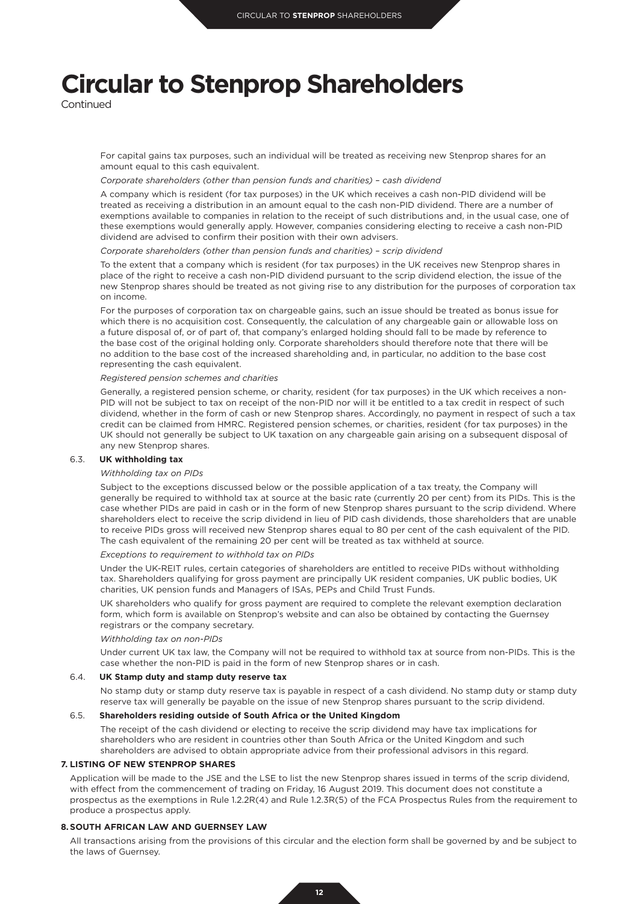Continued

For capital gains tax purposes, such an individual will be treated as receiving new Stenprop shares for an amount equal to this cash equivalent.

#### *Corporate shareholders (other than pension funds and charities) – cash dividend*

A company which is resident (for tax purposes) in the UK which receives a cash non-PID dividend will be treated as receiving a distribution in an amount equal to the cash non-PID dividend. There are a number of exemptions available to companies in relation to the receipt of such distributions and, in the usual case, one of these exemptions would generally apply. However, companies considering electing to receive a cash non-PID dividend are advised to confirm their position with their own advisers.

#### *Corporate shareholders (other than pension funds and charities) – scrip dividend*

To the extent that a company which is resident (for tax purposes) in the UK receives new Stenprop shares in place of the right to receive a cash non-PID dividend pursuant to the scrip dividend election, the issue of the new Stenprop shares should be treated as not giving rise to any distribution for the purposes of corporation tax on income.

For the purposes of corporation tax on chargeable gains, such an issue should be treated as bonus issue for which there is no acquisition cost. Consequently, the calculation of any chargeable gain or allowable loss on a future disposal of, or of part of, that company's enlarged holding should fall to be made by reference to the base cost of the original holding only. Corporate shareholders should therefore note that there will be no addition to the base cost of the increased shareholding and, in particular, no addition to the base cost representing the cash equivalent.

*Registered pension schemes and charities*

Generally, a registered pension scheme, or charity, resident (for tax purposes) in the UK which receives a non-PID will not be subject to tax on receipt of the non-PID nor will it be entitled to a tax credit in respect of such dividend, whether in the form of cash or new Stenprop shares. Accordingly, no payment in respect of such a tax credit can be claimed from HMRC. Registered pension schemes, or charities, resident (for tax purposes) in the UK should not generally be subject to UK taxation on any chargeable gain arising on a subsequent disposal of any new Stenprop shares.

#### 6.3. **UK withholding tax**

#### *Withholding tax on PIDs*

Subject to the exceptions discussed below or the possible application of a tax treaty, the Company will generally be required to withhold tax at source at the basic rate (currently 20 per cent) from its PIDs. This is the case whether PIDs are paid in cash or in the form of new Stenprop shares pursuant to the scrip dividend. Where shareholders elect to receive the scrip dividend in lieu of PID cash dividends, those shareholders that are unable to receive PIDs gross will received new Stenprop shares equal to 80 per cent of the cash equivalent of the PID. The cash equivalent of the remaining 20 per cent will be treated as tax withheld at source.

*Exceptions to requirement to withhold tax on PIDs*

Under the UK-REIT rules, certain categories of shareholders are entitled to receive PIDs without withholding tax. Shareholders qualifying for gross payment are principally UK resident companies, UK public bodies, UK charities, UK pension funds and Managers of ISAs, PEPs and Child Trust Funds.

UK shareholders who qualify for gross payment are required to complete the relevant exemption declaration form, which form is available on Stenprop's website and can also be obtained by contacting the Guernsey registrars or the company secretary.

#### *Withholding tax on non-PIDs*

Under current UK tax law, the Company will not be required to withhold tax at source from non-PIDs. This is the case whether the non-PID is paid in the form of new Stenprop shares or in cash.

#### 6.4. **UK Stamp duty and stamp duty reserve tax**

No stamp duty or stamp duty reserve tax is payable in respect of a cash dividend. No stamp duty or stamp duty reserve tax will generally be payable on the issue of new Stenprop shares pursuant to the scrip dividend.

#### 6.5. **Shareholders residing outside of South Africa or the United Kingdom**

The receipt of the cash dividend or electing to receive the scrip dividend may have tax implications for shareholders who are resident in countries other than South Africa or the United Kingdom and such shareholders are advised to obtain appropriate advice from their professional advisors in this regard.

#### **7. LISTING OF NEW STENPROP SHARES**

Application will be made to the JSE and the LSE to list the new Stenprop shares issued in terms of the scrip dividend, with effect from the commencement of trading on Friday, 16 August 2019. This document does not constitute a prospectus as the exemptions in Rule 1.2.2R(4) and Rule 1.2.3R(5) of the FCA Prospectus Rules from the requirement to produce a prospectus apply.

#### **8.SOUTH AFRICAN LAW AND GUERNSEY LAW**

All transactions arising from the provisions of this circular and the election form shall be governed by and be subject to the laws of Guernsey.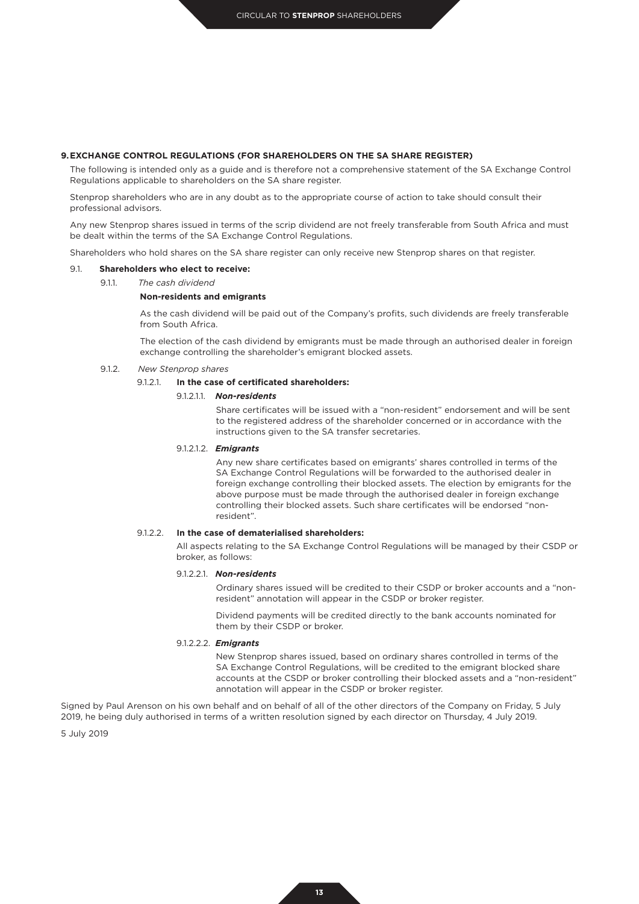#### **9.EXCHANGE CONTROL REGULATIONS (FOR SHAREHOLDERS ON THE SA SHARE REGISTER)**

The following is intended only as a guide and is therefore not a comprehensive statement of the SA Exchange Control Regulations applicable to shareholders on the SA share register.

Stenprop shareholders who are in any doubt as to the appropriate course of action to take should consult their professional advisors.

Any new Stenprop shares issued in terms of the scrip dividend are not freely transferable from South Africa and must be dealt within the terms of the SA Exchange Control Regulations.

Shareholders who hold shares on the SA share register can only receive new Stenprop shares on that register.

#### 9.1. **Shareholders who elect to receive:**

9.1.1. *The cash dividend*

#### **Non-residents and emigrants**

As the cash dividend will be paid out of the Company's profits, such dividends are freely transferable from South Africa.

The election of the cash dividend by emigrants must be made through an authorised dealer in foreign exchange controlling the shareholder's emigrant blocked assets.

#### 9.1.2. *New Stenprop shares*

### 9.1.2.1. **In the case of certificated shareholders:**

## 9.1.2.1.1. *Non-residents*

Share certificates will be issued with a "non-resident" endorsement and will be sent to the registered address of the shareholder concerned or in accordance with the instructions given to the SA transfer secretaries.

#### 9.1.2.1.2. *Emigrants*

Any new share certificates based on emigrants' shares controlled in terms of the SA Exchange Control Regulations will be forwarded to the authorised dealer in foreign exchange controlling their blocked assets. The election by emigrants for the above purpose must be made through the authorised dealer in foreign exchange controlling their blocked assets. Such share certificates will be endorsed "nonresident".

#### 9.1.2.2. **In the case of dematerialised shareholders:**

All aspects relating to the SA Exchange Control Regulations will be managed by their CSDP or broker, as follows:

#### 9.1.2.2.1. *Non-residents*

Ordinary shares issued will be credited to their CSDP or broker accounts and a "nonresident" annotation will appear in the CSDP or broker register.

Dividend payments will be credited directly to the bank accounts nominated for them by their CSDP or broker.

#### 9.1.2.2.2. *Emigrants*

New Stenprop shares issued, based on ordinary shares controlled in terms of the SA Exchange Control Regulations, will be credited to the emigrant blocked share accounts at the CSDP or broker controlling their blocked assets and a "non-resident" annotation will appear in the CSDP or broker register.

Signed by Paul Arenson on his own behalf and on behalf of all of the other directors of the Company on Friday, 5 July 2019, he being duly authorised in terms of a written resolution signed by each director on Thursday, 4 July 2019.

5 July 2019